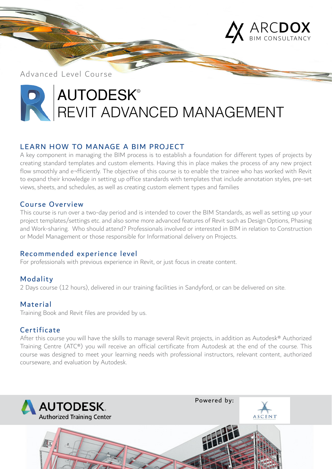

Advanced Level Course

# **AUTODESK®** REVIT ADVANCED MANAGEMENT

## LEARN HOW TO MANAGE A BIM PROJECT

A key component in managing the BIM process is to establish a foundation for different types of projects by creating standard templates and custom elements. Having this in place makes the process of any new project flow smoothly and e¬fficiently. The objective of this course is to enable the trainee who has worked with Revit to expand their knowledge in setting up office standards with templates that include annotation styles, pre-set views, sheets, and schedules, as well as creating custom element types and families

## Course Overview

This course is run over a two-day period and is intended to cover the BIM Standards, as well as setting up your project templates/settings etc. and also some more advanced features of Revit such as Design Options, Phasing and Work-sharing. Who should attend? Professionals involved or interested in BIM in relation to Construction or Model Management or those responsible for Informational delivery on Projects.

## Recommended experience level

For professionals with previous experience in Revit, or just focus in create content.

## Modality

2 Days course (12 hours), delivered in our training facilities in Sandyford, or can be delivered on site.

## Material

Training Book and Revit files are provided by us.

## **Certificate**

After this course you will have the skills to manage several Revit projects, in addition as Autodesk® Authorized Training Centre (ATC®) you will receive an official certificate from Autodesk at the end of the course. This course was designed to meet your learning needs with professional instructors, relevant content, authorized courseware, and evaluation by Autodesk.